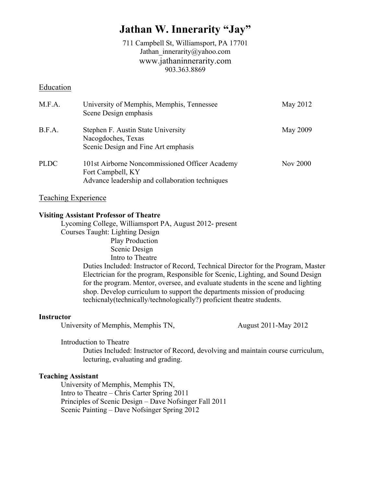# **Jathan W. Innerarity "Jay"**

711 Campbell St, Williamsport, PA 17701 Jathan\_innerarity@yahoo.com www.jathaninnerarity.com 903.363.8869

## Education

| M.F.A. | University of Memphis, Memphis, Tennessee<br>Scene Design emphasis                                                     | May 2012        |
|--------|------------------------------------------------------------------------------------------------------------------------|-----------------|
| B.F.A. | Stephen F. Austin State University<br>Nacogdoches, Texas<br>Scenic Design and Fine Art emphasis                        | May 2009        |
| PLDC   | 101st Airborne Noncommissioned Officer Academy<br>Fort Campbell, KY<br>Advance leadership and collaboration techniques | <b>Nov 2000</b> |

## Teaching Experience

## **Visiting Assistant Professor of Theatre**

Lycoming College, Williamsport PA, August 2012- present Courses Taught: Lighting Design Play Production Scenic Design Intro to Theatre Duties Included: Instructor of Record, Technical Director for the Program, Master Electrician for the program, Responsible for Scenic, Lighting, and Sound Design for the program. Mentor, oversee, and evaluate students in the scene and lighting shop. Develop curriculum to support the departments mission of producing techicnaly(technically/technologically?) proficient theatre students.

## **Instructor**

University of Memphis, Memphis TN, August 2011-May 2012

Introduction to Theatre

Duties Included: Instructor of Record, devolving and maintain course curriculum, lecturing, evaluating and grading.

## **Teaching Assistant**

University of Memphis, Memphis TN, Intro to Theatre – Chris Carter Spring 2011 Principles of Scenic Design – Dave Nofsinger Fall 2011 Scenic Painting – Dave Nofsinger Spring 2012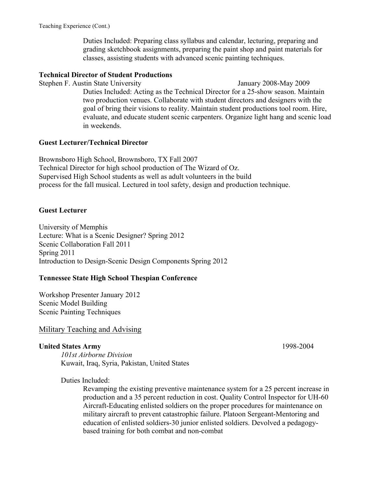Duties Included: Preparing class syllabus and calendar, lecturing, preparing and grading sketchbook assignments, preparing the paint shop and paint materials for classes, assisting students with advanced scenic painting techniques.

## **Technical Director of Student Productions**

Stephen F. Austin State University January 2008-May 2009 Duties Included: Acting as the Technical Director for a 25-show season. Maintain two production venues. Collaborate with student directors and designers with the goal of bring their visions to reality. Maintain student productions tool room. Hire, evaluate, and educate student scenic carpenters. Organize light hang and scenic load in weekends.

## **Guest Lecturer/Technical Director**

Brownsboro High School, Brownsboro, TX Fall 2007 Technical Director for high school production of The Wizard of Oz. Supervised High School students as well as adult volunteers in the build process for the fall musical. Lectured in tool safety, design and production technique.

## **Guest Lecturer**

University of Memphis Lecture: What is a Scenic Designer? Spring 2012 Scenic Collaboration Fall 2011 Spring 2011 Introduction to Design-Scenic Design Components Spring 2012

### **Tennessee State High School Thespian Conference**

Workshop Presenter January 2012 Scenic Model Building Scenic Painting Techniques

## Military Teaching and Advising

### **United States Army** 1998-2004

*101st Airborne Division*  Kuwait, Iraq, Syria, Pakistan, United States

### Duties Included:

Revamping the existing preventive maintenance system for a 25 percent increase in production and a 35 percent reduction in cost. Quality Control Inspector for UH-60 Aircraft-Educating enlisted soldiers on the proper procedures for maintenance on military aircraft to prevent catastrophic failure. Platoon Sergeant-Mentoring and education of enlisted soldiers-30 junior enlisted soldiers. Devolved a pedagogybased training for both combat and non-combat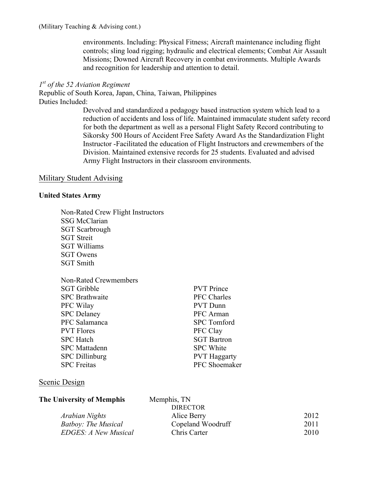environments. Including: Physical Fitness; Aircraft maintenance including flight controls; sling load rigging; hydraulic and electrical elements; Combat Air Assault Missions; Downed Aircraft Recovery in combat environments. Multiple Awards and recognition for leadership and attention to detail.

## *1st of the 52 Aviation Regiment*

Republic of South Korea, Japan, China, Taiwan, Philippines Duties Included:

> Devolved and standardized a pedagogy based instruction system which lead to a reduction of accidents and loss of life. Maintained immaculate student safety record for both the department as well as a personal Flight Safety Record contributing to Sikorsky 500 Hours of Accident Free Safety Award As the Standardization Flight Instructor -Facilitated the education of Flight Instructors and crewmembers of the Division. Maintained extensive records for 25 students. Evaluated and advised Army Flight Instructors in their classroom environments.

> > PVT Prince PFC Charles PVT Dunn PFC Arman **SPC** Tomford PFC Clay **SGT Bartron** SPC White **PVT Haggarty** PFC Shoemaker

## Military Student Advising

## **United States Army**

Non-Rated Crew Flight Instructors SSG McClarian SGT Scarbrough SGT Streit SGT Williams SGT Owens SGT Smith

| Non-Rated Crewmembers |
|-----------------------|
| <b>SGT Gribble</b>    |
| <b>SPC</b> Brathwaite |
| PFC Wilay             |
| <b>SPC</b> Delaney    |
| PFC Salamanca         |
| <b>PVT</b> Flores     |
| <b>SPC</b> Hatch      |
| <b>SPC</b> Mattadenn  |
| <b>SPC</b> Dillinburg |
| <b>SPC</b> Freitas    |
|                       |

## Scenic Design

| The University of Memphis  | Memphis, TN       |      |
|----------------------------|-------------------|------|
|                            | <b>DIRECTOR</b>   |      |
| Arabian Nights             | Alice Berry       | 2012 |
| <b>Batboy: The Musical</b> | Copeland Woodruff | 2011 |
| EDGES: A New Musical       | Chris Carter      | 2010 |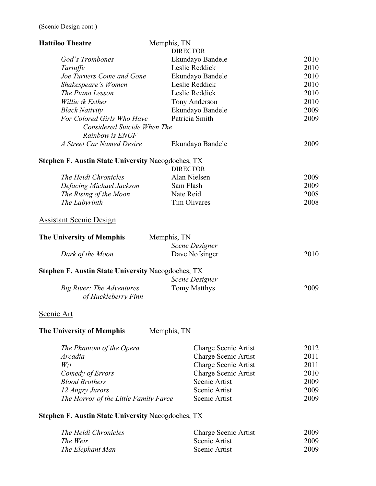| <b>Hattiloo Theatre</b>                                   | Memphis, TN                 |      |
|-----------------------------------------------------------|-----------------------------|------|
|                                                           | <b>DIRECTOR</b>             |      |
| God's Trombones                                           | Ekundayo Bandele            | 2010 |
| Tartuffe                                                  | Leslie Reddick              | 2010 |
| Joe Turners Come and Gone                                 | Ekundayo Bandele            | 2010 |
| Shakespeare's Women                                       | Leslie Reddick              | 2010 |
| The Piano Lesson                                          | Leslie Reddick              | 2010 |
| Willie & Esther                                           | Tony Anderson               | 2010 |
| <b>Black Nativity</b>                                     | Ekundayo Bandele            | 2009 |
| For Colored Girls Who Have<br>Considered Suicide When The | Patricia Smith              | 2009 |
| Rainbow is ENUF                                           |                             |      |
| A Street Car Named Desire                                 | Ekundayo Bandele            | 2009 |
| <b>Stephen F. Austin State University Nacogdoches, TX</b> |                             |      |
|                                                           | <b>DIRECTOR</b>             |      |
| The Heidi Chronicles                                      | Alan Nielsen                | 2009 |
| Defacing Michael Jackson                                  | Sam Flash                   | 2009 |
| The Rising of the Moon                                    | Nate Reid                   | 2008 |
| The Labyrinth                                             | Tim Olivares                | 2008 |
| <b>Assistant Scenic Design</b>                            |                             |      |
| <b>The University of Memphis</b>                          | Memphis, TN                 |      |
|                                                           | <b>Scene Designer</b>       |      |
| Dark of the Moon                                          | Dave Nofsinger              | 2010 |
| <b>Stephen F. Austin State University Nacogdoches, TX</b> |                             |      |
|                                                           | <b>Scene Designer</b>       |      |
| Big River: The Adventures<br>of Huckleberry Finn          | <b>Tomy Matthys</b>         | 2009 |
| Scenic Art                                                |                             |      |
| The University of Memphis                                 | Memphis, TN                 |      |
| The Phantom of the Opera                                  | Charge Scenic Artist        | 2012 |
| <i>Arcadia</i>                                            | Charge Scenic Artist        | 2011 |
| W; t                                                      | <b>Charge Scenic Artist</b> | 2011 |
| Comedy of Errors                                          | <b>Charge Scenic Artist</b> | 2010 |
| <b>Blood Brothers</b>                                     | Scenic Artist               | 2009 |
| 12 Angry Jurors                                           | Scenic Artist               | 2009 |
| The Horror of the Little Family Farce                     | Scenic Artist               | 2009 |

# **Stephen F. Austin State University** Nacogdoches, TX

| The Heidi Chronicles | Charge Scenic Artist | 2009 |
|----------------------|----------------------|------|
| The Weir             | Scenic Artist        | 2009 |
| The Elephant Man     | Scenic Artist        | 2009 |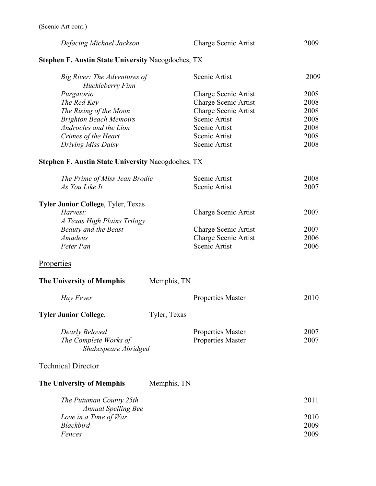| Defacing Michael Jackson | Charge Scenic Artist | 2009 |
|--------------------------|----------------------|------|
|--------------------------|----------------------|------|

# **Stephen F. Austin State University** Nacogdoches, TX

| Big River: The Adventures of  | Scenic Artist        | 2009 |
|-------------------------------|----------------------|------|
| Huckleberry Finn              |                      |      |
| Purgatorio                    | Charge Scenic Artist | 2008 |
| The Red Key                   | Charge Scenic Artist | 2008 |
| The Rising of the Moon        | Charge Scenic Artist | 2008 |
| <b>Brighton Beach Memoirs</b> | Scenic Artist        | 2008 |
| Androcles and the Lion        | Scenic Artist        | 2008 |
| Crimes of the Heart           | Scenic Artist        | 2008 |
| Driving Miss Daisy            | Scenic Artist        | 2008 |

# **Stephen F. Austin State University** Nacogdoches, TX

| The Prime of Miss Jean Brodie                         |              | Scenic Artist               | 2008 |
|-------------------------------------------------------|--------------|-----------------------------|------|
| As You Like It                                        |              | Scenic Artist               | 2007 |
| Tyler Junior College, Tyler, Texas                    |              |                             |      |
| Harvest:<br>A Texas High Plains Trilogy               |              | <b>Charge Scenic Artist</b> | 2007 |
| <b>Beauty and the Beast</b>                           |              | Charge Scenic Artist        | 2007 |
| <b>Amadeus</b>                                        |              | Charge Scenic Artist        | 2006 |
| Peter Pan                                             |              | Scenic Artist               | 2006 |
| Properties                                            |              |                             |      |
| <b>The University of Memphis</b>                      | Memphis, TN  |                             |      |
| Hay Fever                                             |              | <b>Properties Master</b>    | 2010 |
| <b>Tyler Junior College,</b>                          | Tyler, Texas |                             |      |
| Dearly Beloved                                        |              | <b>Properties Master</b>    | 2007 |
| The Complete Works of<br>Shakespeare Abridged         |              | <b>Properties Master</b>    | 2007 |
| <b>Technical Director</b>                             |              |                             |      |
| <b>The University of Memphis</b>                      | Memphis, TN  |                             |      |
| The Putuman County 25th<br><b>Annual Spelling Bee</b> |              |                             | 2011 |
| Love in a Time of War                                 |              |                             | 2010 |
| <b>Blackbird</b>                                      |              |                             | 2009 |
| Fences                                                |              |                             | 2009 |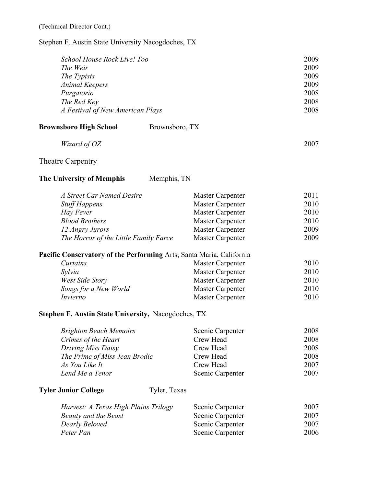Stephen F. Austin State University Nacogdoches, TX

| School House Rock Live! Too      | 2009 |
|----------------------------------|------|
| The Weir                         | 2009 |
| The Typists                      | 2009 |
| <b>Animal Keepers</b>            | 2009 |
| Purgatorio                       | 2008 |
| The Red Key                      | 2008 |
| A Festival of New American Plays | 2008 |

| <b>Brownsboro High School</b> | Brownsboro, TX |
|-------------------------------|----------------|
|-------------------------------|----------------|

| Wizard of OZ | 2007 |
|--------------|------|
|              |      |

# Theatre Carpentry

| <b>The University of Memphis</b> | Memphis, TN |
|----------------------------------|-------------|
|----------------------------------|-------------|

| A Street Car Named Desire             | Master Carpenter | 2011 |
|---------------------------------------|------------------|------|
| <b>Stuff Happens</b>                  | Master Carpenter | 2010 |
| Hay Fever                             | Master Carpenter | 2010 |
| <b>Blood Brothers</b>                 | Master Carpenter | 2010 |
| 12 Angry Jurors                       | Master Carpenter | 2009 |
| The Horror of the Little Family Farce | Master Carpenter | 2009 |

# **Pacific Conservatory of the Performing** Arts, Santa Maria, California

| Curtains              | Master Carpenter | 2010 |
|-----------------------|------------------|------|
| Sylvia                | Master Carpenter | 2010 |
| West Side Story       | Master Carpenter | 2010 |
| Songs for a New World | Master Carpenter | 2010 |
| Invierno              | Master Carpenter | 2010 |

## **Stephen F. Austin State University,** Nacogdoches, TX

| <b>Brighton Beach Memoirs</b> | Scenic Carpenter | 2008 |
|-------------------------------|------------------|------|
| Crimes of the Heart           | Crew Head        | 2008 |
| Driving Miss Daisy            | Crew Head        | 2008 |
| The Prime of Miss Jean Brodie | Crew Head        | 2008 |
| As You Like It                | Crew Head        | 2007 |
| Lend Me a Tenor               | Scenic Carpenter | 2007 |

# **Tyler Junior College** Tyler, Texas

| Harvest: A Texas High Plains Trilogy | Scenic Carpenter | 2007 |
|--------------------------------------|------------------|------|
| Beauty and the Beast                 | Scenic Carpenter | 2007 |
| Dearly Beloved                       | Scenic Carpenter | 2007 |
| Peter Pan                            | Scenic Carpenter | 2006 |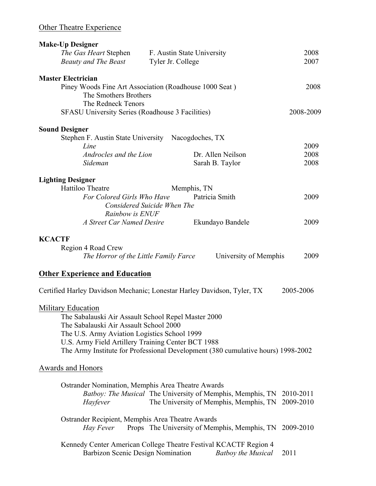| <b>Make-Up Designer</b>                                                                            |                                                                   |                                   |           |
|----------------------------------------------------------------------------------------------------|-------------------------------------------------------------------|-----------------------------------|-----------|
| The Gas Heart Stephen                                                                              | F. Austin State University                                        |                                   | 2008      |
| <b>Beauty and The Beast</b>                                                                        | Tyler Jr. College                                                 |                                   | 2007      |
| <b>Master Electrician</b>                                                                          |                                                                   |                                   |           |
| Piney Woods Fine Art Association (Roadhouse 1000 Seat)<br>The Smothers Brothers                    |                                                                   |                                   | 2008      |
| The Redneck Tenors<br><b>SFASU University Series (Roadhouse 3 Facilities)</b>                      |                                                                   |                                   | 2008-2009 |
| <b>Sound Designer</b>                                                                              |                                                                   |                                   |           |
| Stephen F. Austin State University Nacogdoches, TX                                                 |                                                                   |                                   |           |
| Line                                                                                               |                                                                   |                                   | 2009      |
| Androcles and the Lion                                                                             | Dr. Allen Neilson                                                 |                                   | 2008      |
| Sideman                                                                                            | Sarah B. Taylor                                                   |                                   | 2008      |
| <b>Lighting Designer</b>                                                                           |                                                                   |                                   |           |
| Hattiloo Theatre                                                                                   | Memphis, TN                                                       |                                   |           |
| For Colored Girls Who Have                                                                         | Patricia Smith                                                    |                                   | 2009      |
|                                                                                                    | Considered Suicide When The                                       |                                   |           |
| Rainbow is ENUF<br>A Street Car Named Desire                                                       |                                                                   |                                   |           |
|                                                                                                    | Ekundayo Bandele                                                  |                                   | 2009      |
| <b>KCACTF</b>                                                                                      |                                                                   |                                   |           |
| Region 4 Road Crew                                                                                 |                                                                   |                                   |           |
| The Horror of the Little Family Farce                                                              |                                                                   | University of Memphis             | 2009      |
| <b>Other Experience and Education</b>                                                              |                                                                   |                                   |           |
| Certified Harley Davidson Mechanic; Lonestar Harley Davidson, Tyler, TX                            |                                                                   | 2005-2006                         |           |
|                                                                                                    |                                                                   |                                   |           |
| <b>Military Education</b>                                                                          |                                                                   |                                   |           |
| The Sabalauski Air Assault School Repel Master 2000                                                |                                                                   |                                   |           |
| The Sabalauski Air Assault School 2000                                                             |                                                                   |                                   |           |
| The U.S. Army Aviation Logistics School 1999<br>U.S. Army Field Artillery Training Center BCT 1988 |                                                                   |                                   |           |
| The Army Institute for Professional Development (380 cumulative hours) 1998-2002                   |                                                                   |                                   |           |
|                                                                                                    |                                                                   |                                   |           |
| Awards and Honors                                                                                  |                                                                   |                                   |           |
| Ostrander Nomination, Memphis Area Theatre Awards                                                  |                                                                   |                                   |           |
|                                                                                                    | <i>Batboy: The Musical</i> The University of Memphis, Memphis, TN | 2010-2011                         |           |
| Hayfever                                                                                           | The University of Memphis, Memphis, TN                            | 2009-2010                         |           |
|                                                                                                    |                                                                   |                                   |           |
| Ostrander Recipient, Memphis Area Theatre Awards<br>Hay Fever                                      | Props The University of Memphis, Memphis, TN                      | 2009-2010                         |           |
|                                                                                                    |                                                                   |                                   |           |
| Kennedy Center American College Theatre Festival KCACTF Region 4                                   |                                                                   |                                   |           |
| Barbizon Scenic Design Nomination                                                                  |                                                                   | <b>Batboy the Musical</b><br>2011 |           |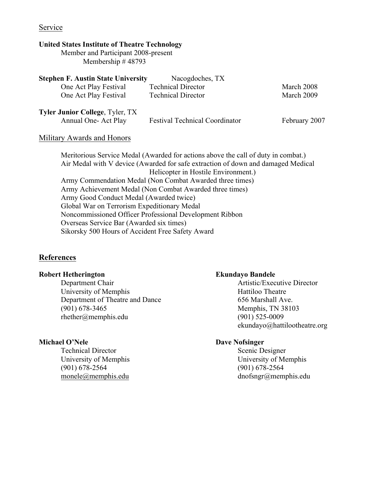## Service

## **United States Institute of Theatre Technology**

Member and Participant 2008-present Membership # 48793

| <b>Stephen F. Austin State University</b> | Nacogdoches, TX                       |               |
|-------------------------------------------|---------------------------------------|---------------|
| One Act Play Festival                     | <b>Technical Director</b>             | March 2008    |
| One Act Play Festival                     | <b>Technical Director</b>             | March 2009    |
| <b>Tyler Junior College, Tyler, TX</b>    |                                       |               |
| Annual One-Act Play                       | <b>Festival Technical Coordinator</b> | February 2007 |

## Military Awards and Honors

Meritorious Service Medal (Awarded for actions above the call of duty in combat.) Air Medal with V device (Awarded for safe extraction of down and damaged Medical Helicopter in Hostile Environment.) Army Commendation Medal (Non Combat Awarded three times) Army Achievement Medal (Non Combat Awarded three times) Army Good Conduct Medal (Awarded twice) Global War on Terrorism Expeditionary Medal Noncommissioned Officer Professional Development Ribbon Overseas Service Bar (Awarded six times) Sikorsky 500 Hours of Accident Free Safety Award

## **References**

## **Robert Hetherington Ekundayo Bandele**

Department Chair **Artistic/Executive Director** University of Memphis Hattiloo Theatre Department of Theatre and Dance 656 Marshall Ave. (901) 678-3465 Memphis, TN 38103 rhether@memphis.edu (901) 525-0009

## **Michael O'Nele** Dave Nofsinger

Technical Director Scenic Designer (901) 678-2564 (901) 678-2564

ekundayo@hattilootheatre.org

University of Memphis University of Memphis monele@memphis.edu dnofsngr@memphis.edu